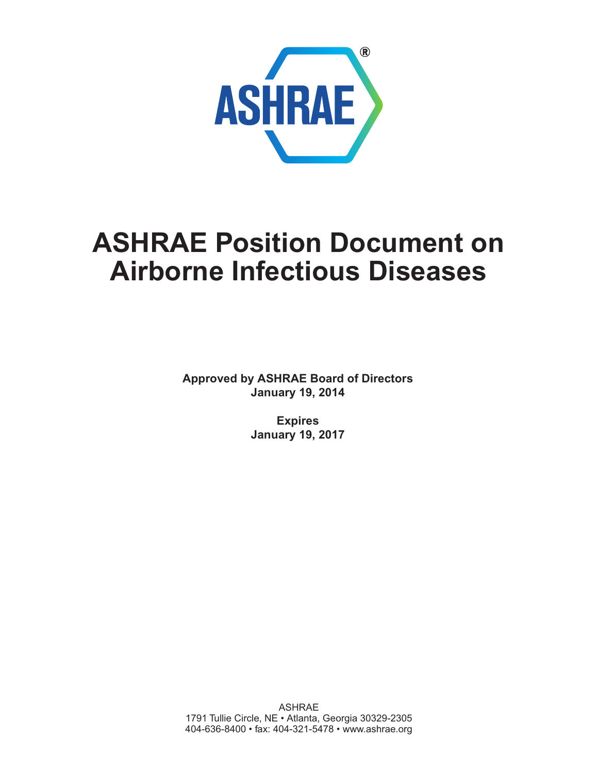

# **ASHRAE Position Document on Airborne Infectious Diseases**

**Approved by ASHRAE Board of Directors January 19, 2014**

> **Expires January 19, 2017**

ASHRAE 1791 Tullie Circle, NE • Atlanta, Georgia 30329-2305 [404-636-8400 • fax: 404-321-5478 • www.ashrae.org](http://www.ashrae.org)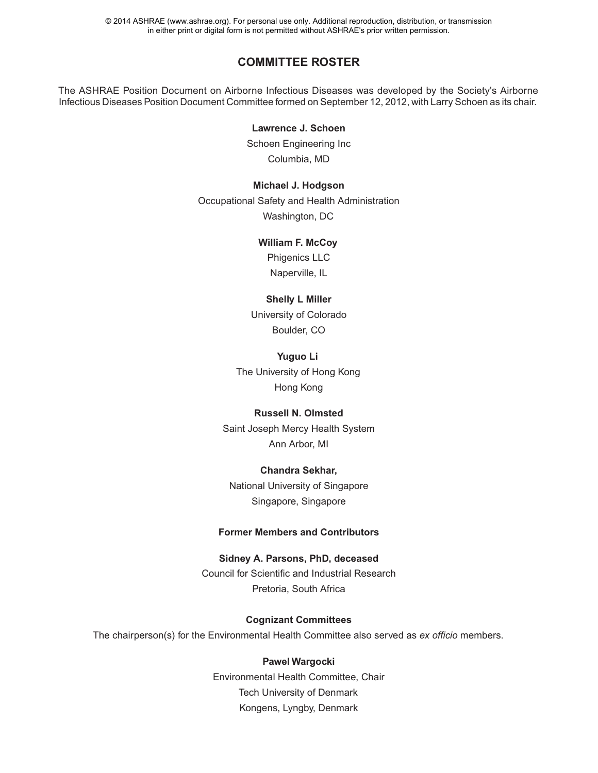© 2014 ASHRAE (www.ashrae.org). For personal use only. Additional reproduction, distribution, or transmission in either print or digital form is not permitted without ASHRAE's prior written permission.

### **COMMITTEE ROSTER**

The ASHRAE Position Document on Airborne Infectious Diseases was developed by the Society's Airborne Infectious Diseases Position Document Committee formed on September 12, 2012, with Larry Schoen as its chair.

#### **Lawrence J. Schoen**

Schoen Engineering Inc Columbia, MD

# **Michael J. Hodgson**

Occupational Safety and Health Administration Washington, DC

#### **William F. McCoy**

Phigenics LLC Naperville, IL

#### **Shelly L Miller**

University of Colorado Boulder, CO

## **Yuguo Li** The University of Hong Kong Hong Kong

#### **Russell N. Olmsted**

Saint Joseph Mercy Health System Ann Arbor, MI

#### **Chandra Sekhar,**

National University of Singapore Singapore, Singapore

#### **Former Members and Contributors**

#### **Sidney A. Parsons, PhD, deceased**

Council for Scientific and Industrial Research Pretoria, South Africa

#### **Cognizant Committees**

The chairperson(s) for the Environmental Health Committee also served as *ex officio* members.

#### **Pawel Wargocki**

Environmental Health Committee, Chair Tech University of Denmark Kongens, Lyngby, Denmark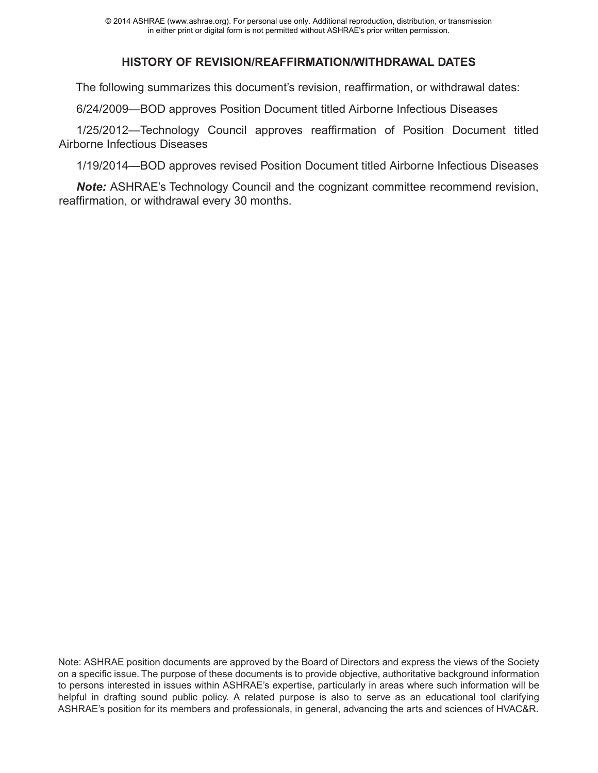# **HISTORY OF REVISION/REAFFIRMATION/WITHDRAWAL DATES**

The following summarizes this document's revision, reaffirmation, or withdrawal dates:

6/24/2009—BOD approves Position Document titled Airborne Infectious Diseases

1/25/2012—Technology Council approves reaffirmation of Position Document titled Airborne Infectious Diseases

1/19/2014—BOD approves revised Position Document titled Airborne Infectious Diseases

*Note:* ASHRAE's Technology Council and the cognizant committee recommend revision, reaffirmation, or withdrawal every 30 months.

Note: ASHRAE position documents are approved by the Board of Directors and express the views of the Society on a specific issue. The purpose of these documents is to provide objective, authoritative background information to persons interested in issues within ASHRAE's expertise, particularly in areas where such information will be helpful in drafting sound public policy. A related purpose is also to serve as an educational tool clarifying ASHRAE's position for its members and professionals, in general, advancing the arts and sciences of HVAC&R.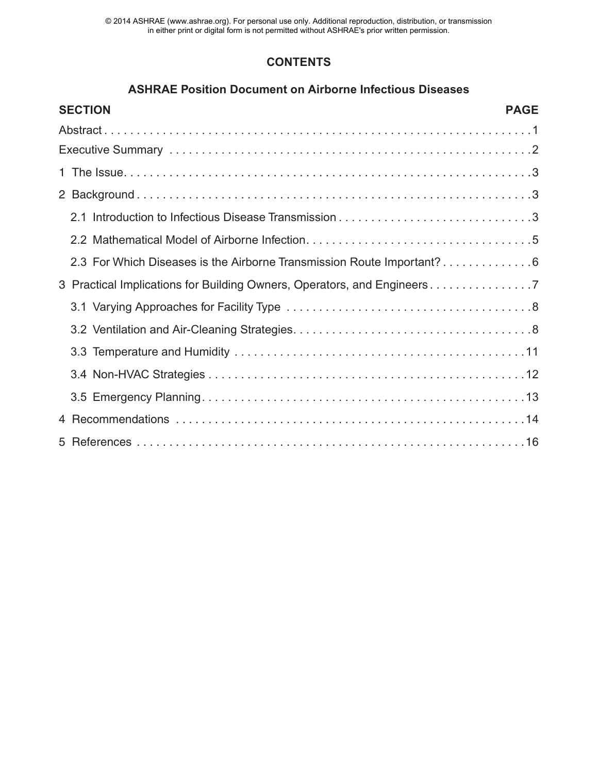© 2014 ASHRAE (www.ashrae.org). For personal use only. Additional reproduction, distribution, or transmission in either print or digital form is not permitted without ASHRAE's prior written permission.

# **CONTENTS**

## **ASHRAE Position Document on Airborne Infectious Diseases**

| <b>SECTION</b><br><b>PAGE</b>                                           |
|-------------------------------------------------------------------------|
|                                                                         |
|                                                                         |
|                                                                         |
|                                                                         |
|                                                                         |
|                                                                         |
| 2.3 For Which Diseases is the Airborne Transmission Route Important?6   |
| 3 Practical Implications for Building Owners, Operators, and Engineers7 |
|                                                                         |
|                                                                         |
|                                                                         |
|                                                                         |
|                                                                         |
|                                                                         |
|                                                                         |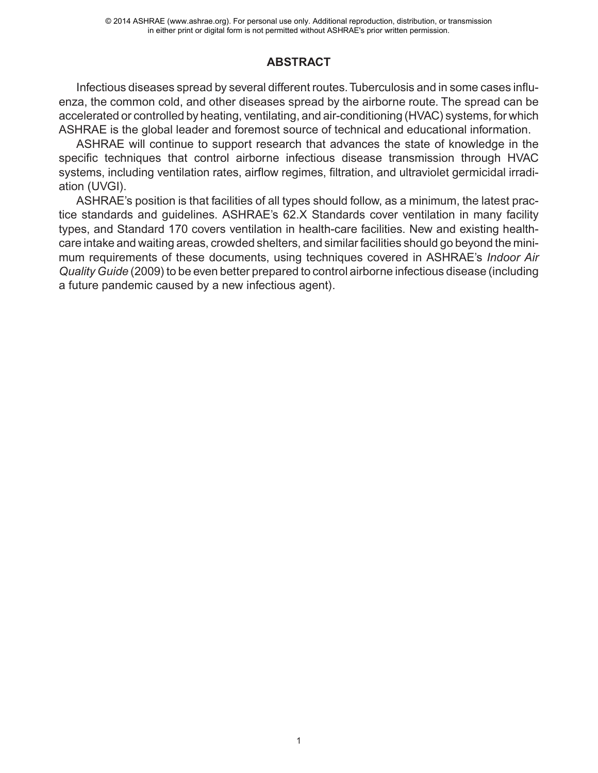# **ABSTRACT**

Infectious diseases spread by several different routes. Tuberculosis and in some cases influenza, the common cold, and other diseases spread by the airborne route. The spread can be accelerated or controlled by heating, ventilating, and air-conditioning (HVAC) systems, for which ASHRAE is the global leader and foremost source of technical and educational information.

ASHRAE will continue to support research that advances the state of knowledge in the specific techniques that control airborne infectious disease transmission through HVAC systems, including ventilation rates, airflow regimes, filtration, and ultraviolet germicidal irradiation (UVGI).

ASHRAE's position is that facilities of all types should follow, as a minimum, the latest practice standards and guidelines. ASHRAE's 62.X Standards cover ventilation in many facility types, and Standard 170 covers ventilation in health-care facilities. New and existing healthcare intake and waiting areas, crowded shelters, and similar facilities should go beyond the minimum requirements of these documents, using techniques covered in ASHRAE's *Indoor Air Quality Guide* (2009) to be even better prepared to control airborne infectious disease (including a future pandemic caused by a new infectious agent).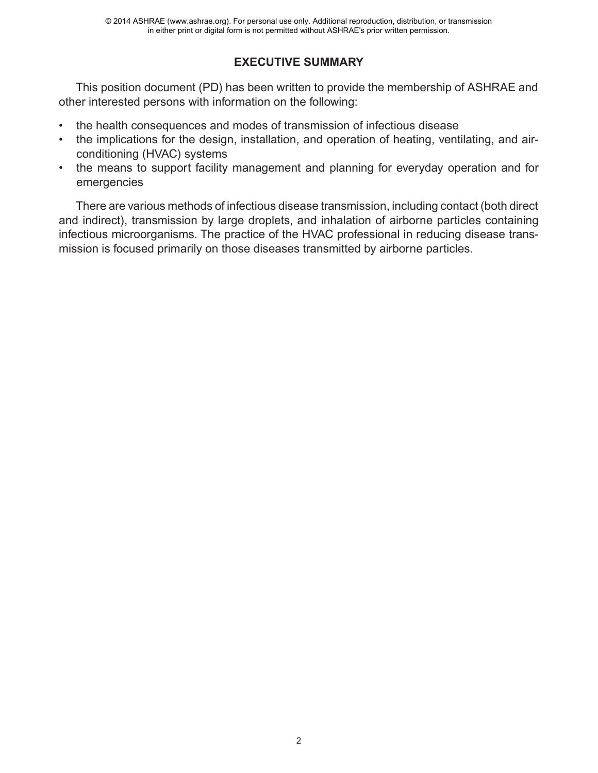# **EXECUTIVE SUMMARY**

This position document (PD) has been written to provide the membership of ASHRAE and other interested persons with information on the following:

- the health consequences and modes of transmission of infectious disease
- [the implications for the design, installation, and operation of heating, ventilating, and air](http://www.ncbi.nlm.nih.gov/pubmed/23372182)conditioning (HVAC) systems
- the means to support facility management and planning for everyday operation and for emergencies

There are various methods of infectious disease transmission, including contact (both direct and indirect), transmission by large droplets, and inhalation of airborne particles containing infectious microorganisms. The practice of the HVAC professional in reducing disease transmission is focused primarily on those diseases transmitted by airborne particles.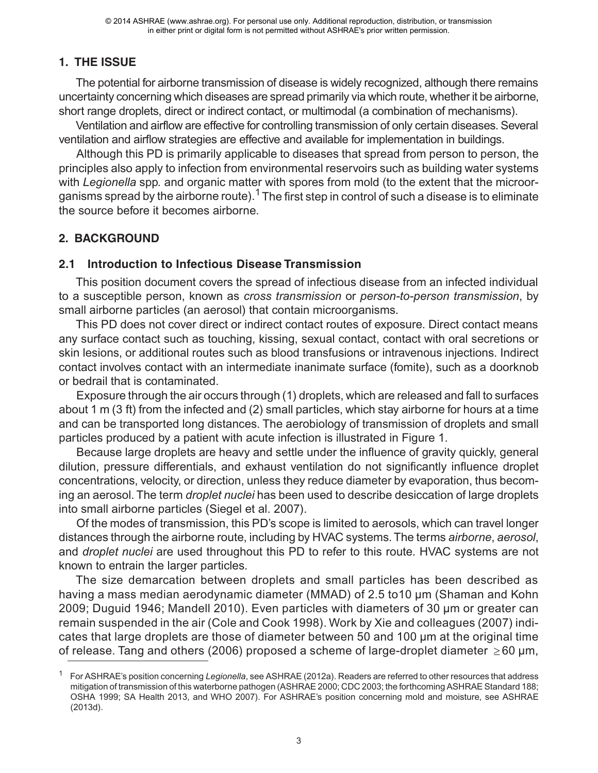# **1. THE ISSUE**

The potential for airborne transmission of disease is widely recognized, although there remains uncertainty concerning which diseases are spread primarily via which route, whether it be airborne, short range droplets, direct or indirect contact, or multimodal (a combination of mechanisms).

Ventilation and airflow are effective for controlling transmission of only certain diseases. Several ventilation and airflow strategies are effective and available for implementation in buildings.

Although this PD is primarily applicable to diseases that spread from person to person, the principles also apply to infection from environmental reservoirs such as building water systems with *Legionella* spp*.* [and organic matter with spores from mold \(to the extent that the microor](http://www.ncbi.nlm.nih.gov/pubmed/20061056)ganisms spread by the airborne route).<sup>1</sup> The first step in control of such a disease is to eliminate the source before it becomes airborne.

# **2. BACKGROUND**

# **2.1 Introduction to Infectious Disease Transmission**

This position document covers the spread of infectious disease from an infected individual to a susceptible person, known as *cross transmission* or *person-to-person transmission*, by small airborne particles (an aerosol) that contain microorganisms.

This PD does not cover direct or indirect contact routes of exposure. Direct contact means [any surface contact such as touching, kissing, sexual contact, contact with oral secretions or](http://www.ncbi.nlm.nih.gov/pubmed/6088645) skin lesions, or additional routes such as blood transfusions or intravenous injections. Indirect contact involves contact with an intermediate inanimate surface (fomite), such as a doorknob or bedrail that is contaminated.

Exposure through the air occurs through (1) droplets, which are released and fall to surfaces about 1 m (3 ft) from the infected and (2) small particles, which stay airborne for hours at a time and can be transported long distances. The aerobiology of transmission of droplets and small particles produced by a patient with acute infection is illustrated in Figure 1.

Because large droplets are heavy and settle under the influence of gravity quickly, general dilution, pressure differentials, and exhaust ventilation do not significantly influence droplet concentrations, velocity, or direction, unless they reduce diameter by evaporation, thus becoming an aerosol. The term *droplet nuclei* has been used to describe desiccation of large droplets into small airborne particles (Siegel et al. 2007).

Of the modes of transmission, this PD's scope is limited to aerosols, which can travel longer distances through the airborne route, including by HVAC systems. The terms *airborne*, *aerosol*, and *droplet nuclei* are used throughout this PD to refer to this route. HVAC systems are not known to entrain the larger particles.

The size demarcation between droplets and small particles has been described as having a mass median aerodynamic diameter (MMAD) of 2.5 to10 µm (Shaman and Kohn 2009; Duguid 1946; Mandell 2010). Even particles with diameters of 30 µm or greater can remain suspended in the air (Cole and Cook 1998). Work by Xie and colleagues (2007) indicates that large droplets are those of diameter between 50 and 100 µm at the original time of release. Tang and others (2006) proposed a scheme of large-droplet diameter  $\geq$ 60 µm,

<sup>1</sup> For ASHRAE's position concerning *Legionella*, see ASHRAE (2012a). Readers are referred to other resources that address mitigation of transmission of this waterborne pathogen (ASHRAE 2000; CDC 2003; the forthcoming ASHRAE Standard 188; [OSHA 1999; SA Health 2013, and WHO 2007\). For ASHRAE's position concerning mold and moisture, see ASHRAE](http://www.ncbi.nlm.nih.gov/pubmed/20061056) (2013d).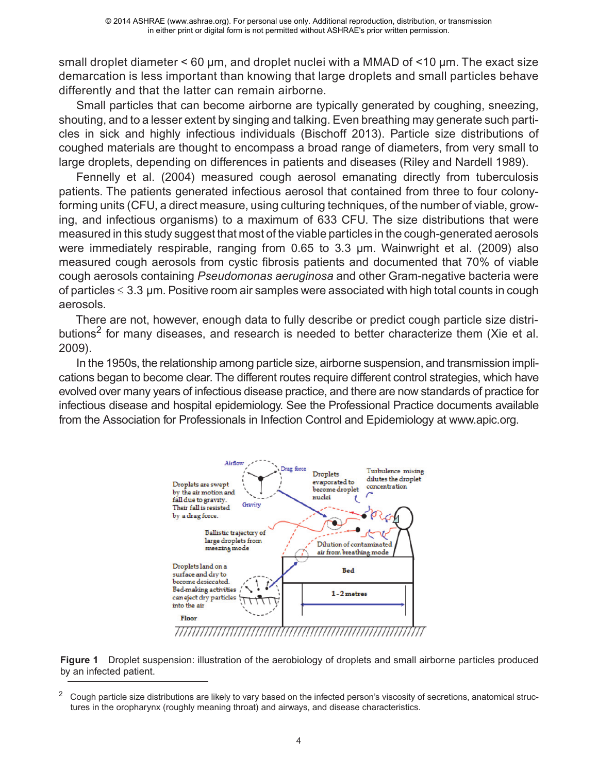small droplet diameter < 60 µm, and droplet nuclei with a MMAD of <10 µm. The exact size demarcation is less important than knowing that large droplets and small particles behave differently and that the latter can remain airborne.

Small particles that can become airborne are typically generated by coughing, sneezing, shouting, and to a lesser extent by singing and talking. Even breathing may generate such particles in sick and highly infectious individuals (Bischoff 2013). Particle size distributions of coughed materials are thought to encompass a broad range of diameters, from very small to large droplets, depending on differences in patients and diseases (Riley and Nardell 1989).

Fennelly et al. (2004) measured cough aerosol emanating directly from tuberculosis patients. The patients generated infectious aerosol that contained from three to four colonyforming units (CFU, a direct measure, using culturing techniques, of the number of viable, growing, and infectious organisms) to a maximum of 633 CFU. The size distributions that were measured in this study suggest that most of the viable particles in the cough-generated aerosols were immediately respirable, ranging from 0.65 to 3.3 µm. Wainwright et al. (2009) also measured cough aerosols from cystic fibrosis patients and documented that 70% of viable cough aerosols containing *Pseudomonas aeruginosa* and other Gram-negative bacteria were of particles  $\leq 3.3$  µm. Positive room air samples were associated with high total counts in cough aerosols.

There are not, however, enough data to fully describe or predict cough particle size distributions<sup>2</sup> for many diseases, and research is needed to better characterize them (Xie et al. 2009).

In the 1950s, the relationship among particle size, airborne suspension, and transmission implications began to become clear. The different routes require different control strategies, which have evolved over many years of infectious disease practice, and there are now standards of practice for infectious disease and hospital epidemiology. See the Professional Practice documents available from the Association for Professionals in Infection Control and Epidemiology at www.apic.org.



**Figure 1** Droplet suspension: illustration of the aerobiology of droplets and small airborne particles produced by an infected patient.

<sup>2</sup> Cough particle size distributions are likely to vary based on the infected person's viscosity of secretions, anatomical structures in the oropharynx (roughly meaning throat) and airways, and disease characteristics.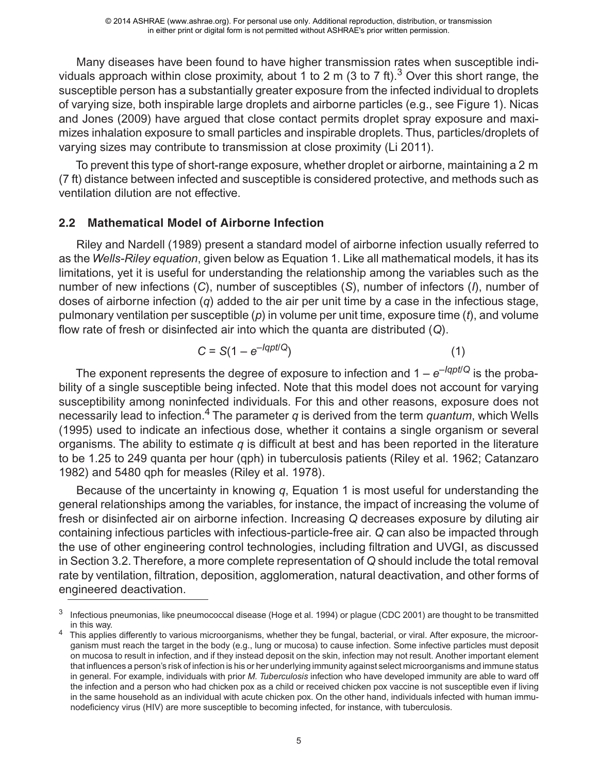Many diseases have been found to have higher transmission rates when susceptible individuals approach within close proximity, about 1 to 2 m (3 to 7 ft).<sup>3</sup> Over this short range, the susceptible person has a substantially greater exposure from the infected individual to droplets of varying size, both inspirable large droplets and airborne particles (e.g., see Figure 1). Nicas and Jones (2009) have argued that close contact permits droplet spray exposure and maximizes inhalation exposure to small particles and inspirable droplets. Thus, particles/droplets of varying sizes may contribute to transmission at close proximity (Li 2011).

To prevent this type of short-range exposure, whether droplet or airborne, maintaining a 2 m (7 ft) distance between infected and susceptible is considered protective, and methods such as ventilation dilution are not effective.

## **2.2 Mathematical Model of Airborne Infection**

Riley and Nardell (1989) present a standard model of airborne infection usually referred to as the *Wells-Riley equation*, given below as Equation 1. Like all mathematical models, it has its limitations, yet it is useful for understanding the relationship among the variables such as the number of new infections (*C*), number of susceptibles (*S*), number of infectors (*I*), number of doses of airborne infection (*q*) added to the air per unit time by a case in the infectious stage, pulmonary ventilation per susceptible (*p*) in volume per unit time, exposure time (*t*), and volume flow rate of fresh or disinfected air into which the quanta are distributed (*Q*).

$$
C = S(1 - e^{-lqpt/Q})
$$
 (1)

The exponent represents the degree of exposure to infection and  $1 - e^{-lqpt/Q}$  is the probability of a single susceptible being infected. Note that this model does not account for varying susceptibility among noninfected individuals. For this and other reasons, exposure does not necessarily lead to infection.<sup>4</sup> The parameter *q* is derived from the term *quantum*, which Wells (1995) used to indicate an infectious dose, whether it contains a single organism or several organisms. The ability to estimate *q* is difficult at best and has been reported in the literature to be 1.25 to 249 quanta per hour (qph) in tuberculosis patients (Riley et al. 1962; Catanzaro 1982) and 5480 qph for measles (Riley et al. 1978).

Because of the uncertainty in knowing *q*, Equation 1 is most useful for understanding the general relationships among the variables, for instance, the impact of increasing the volume of fresh or disinfected air on airborne infection. Increasing *Q* decreases exposure by diluting air containing infectious particles with infectious-particle-free air. *Q* can also be impacted through the use of other engineering control technologies, including filtration and UVGI, as discussed in Section 3.2. Therefore, a more complete representation of *Q* should include the total removal rate by ventilation, filtration, deposition, agglomeration, natural deactivation, and other forms of engineered deactivation.

 $3$  Infectious pneumonias, like pneumococcal disease (Hoge et al. 1994) or plague (CDC 2001) are thought to be transmitted in this way.<br>This applies differently to various microorganisms, whether they be fungal, bacterial, or viral. After exposure, the microor-

ganism must reach the target in the body (e.g., lung or mucosa) to cause infection. Some infective particles must deposit on mucosa to result in infection, and if they instead deposit on the skin, infection may not result. Another important element that influences a person's risk of infection is his or her underlying immunity against select microorganisms and immune status in general. For example, individuals with prior *M. Tuberculosis* infection who have developed immunity are able to ward off the infection and a person who had chicken pox as a child or received chicken pox vaccine is not susceptible even if living in the same household as an individual with acute chicken pox. On the other hand, individuals infected with human immunodeficiency virus (HIV) are more susceptible to becoming infected, for instance, with tuberculosis.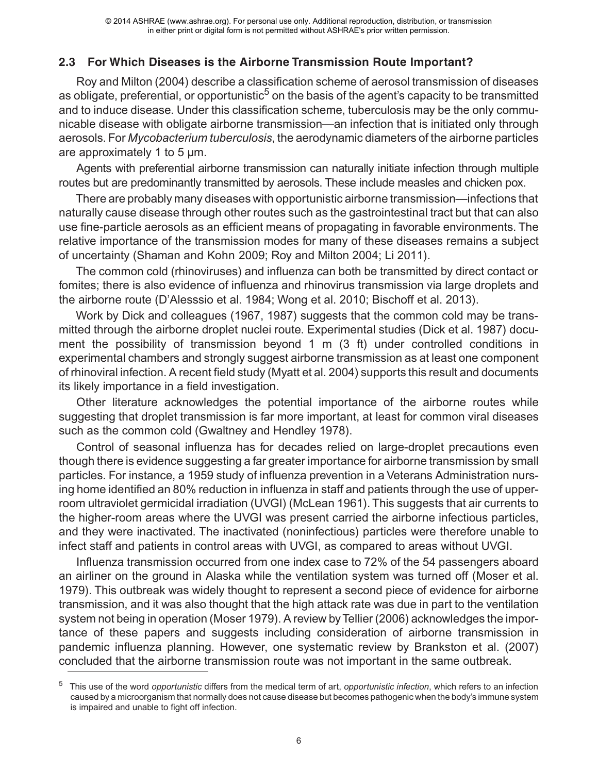# **2.3 For Which Diseases is the Airborne Transmission Route Important?**

Roy and Milton (2004) describe a classification scheme of aerosol transmission of diseases as obligate, preferential, or opportunistic<sup>5</sup> on the basis of the agent's capacity to be transmitted and to induce disease. Under this classification scheme, tuberculosis may be the only communicable disease with obligate airborne transmission—an infection that is initiated only through aerosols. For *Mycobacterium tuberculosis*, the aerodynamic diameters of the airborne particles are approximately 1 to 5 µm.

Agents with preferential airborne transmission can naturally initiate infection through multiple routes but are predominantly transmitted by aerosols. These include measles and chicken pox.

There are probably many diseases with opportunistic airborne transmission—infections that naturally cause disease through other routes such as the gastrointestinal tract but that can also use fine-particle aerosols as an efficient means of propagating in favorable environments. The relative importance of the transmission modes for many of these diseases remains a subject of uncertainty (Shaman and Kohn 2009; Roy and Milton 2004; Li 2011).

The common cold (rhinoviruses) and influenza can both be transmitted by direct contact or fomites; there is also evidence of influenza and rhinovirus transmission via large droplets and the airborne route (D'Alesssio et al. 1984; Wong et al. 2010; Bischoff et al. 2013).

Work by Dick and colleagues (1967, 1987) suggests that the common cold may be transmitted through the airborne droplet nuclei route. Experimental studies (Dick et al. 1987) document the possibility of transmission beyond 1 m (3 ft) under controlled conditions in experimental chambers and strongly suggest airborne transmission as at least one component of rhinoviral infection. A recent field study (Myatt et al. 2004) supports this result and documents its likely importance in a field investigation.

Other literature acknowledges the potential importance of the airborne routes while [suggesting that droplet transmission is far more important, at least for common viral diseases](http://www.ncbi.nlm.nih.gov/pubmed/23036479) such as the common cold (Gwaltney and Hendley 1978).

Control of seasonal influenza has for decades relied on large-droplet precautions even though there is evidence suggesting a far greater importance for airborne transmission by small particles. For instance, a 1959 study of influenza prevention in a Veterans Administration nursing home identified an 80% reduction in influenza in staff and patients through the use of upperroom ultraviolet germicidal irradiation (UVGI) (McLean 1961). This suggests that air currents to the higher-room areas where the UVGI was present carried the airborne infectious particles, and they were inactivated. The inactivated (noninfectious) particles were therefore unable to infect staff and patients in control areas with UVGI, as compared to areas without UVGI.

Influenza transmission occurred from one index case to 72% of the 54 passengers aboard an airliner on the ground in Alaska while the ventilation system was turned off (Moser et al. 1979). This outbreak was widely thought to represent a second piece of evidence for airborne transmission, and it was also thought that the high attack rate was due in part to the ventilation system not being in operation (Moser 1979). A review by Tellier (2006) acknowledges the importance of these papers and suggests including consideration of airborne transmission in pandemic influenza planning. However, one systematic review by Brankston et al. (2007) concluded that the airborne transmission route was not important in the same outbreak.

<sup>5</sup> This use of the word *opportunistic* differs from the medical term of art, *opportunistic infection*, which refers to an infection caused by a microorganism that normally does not cause disease but becomes pathogenic when the body's immune system is impaired and unable to fight off infection.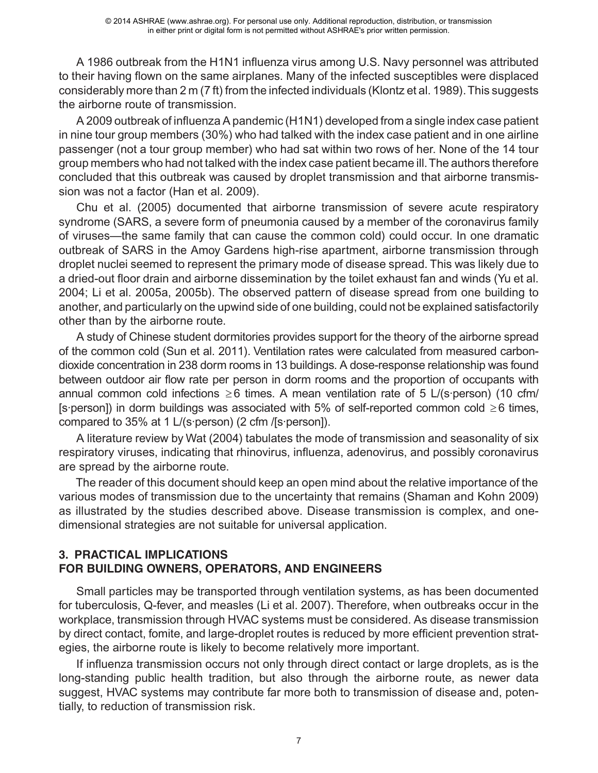A 1986 outbreak from the H1N1 influenza virus among U.S. Navy personnel was attributed to their having flown on the same airplanes. Many of the infected susceptibles were displaced considerably more than 2 m (7 ft) from the infected individuals (Klontz et al. 1989).This suggests the airborne route of transmission.

A 2009 outbreak of influenza A pandemic (H1N1) developed from a single index case patient in nine tour group members (30%) who had talked with the index case patient and in one airline passenger (not a tour group member) who had sat within two rows of her. None of the 14 tour group members who had not talked with the index case patient became ill.The authors therefore concluded that this outbreak was caused by droplet transmission and that airborne transmission was not a factor (Han et al. 2009).

Chu et al. (2005) documented that airborne transmission of severe acute respiratory syndrome (SARS, a severe form of pneumonia caused by a member of the coronavirus family of viruses—the same family that can cause the common cold) could occur. In one dramatic outbreak of SARS in the Amoy Gardens high-rise apartment, airborne transmission through droplet nuclei seemed to represent the primary mode of disease spread. This was likely due to a dried-out floor drain and airborne dissemination by the toilet exhaust fan and winds (Yu et al. 2004; Li et al. 2005a, 2005b). The observed pattern of disease spread from one building to another, and particularly on the upwind side of one building, could not be explained satisfactorily other than by the airborne route.

A study of Chinese student dormitories provides support for the theory of the airborne spread of the common cold (Sun et al. 2011). Ventilation rates were calculated from measured carbondioxide concentration in 238 dorm rooms in 13 buildings. A dose-response relationship was found between outdoor air flow rate per person in dorm rooms and the proportion of occupants with annual common cold infections  $\geq 6$  times. A mean ventilation rate of 5 L/(s·person) (10 cfm/ [s·person]) in dorm buildings was associated with 5% of self-reported common cold  $\geq 6$  times, compared to 35% at 1 L/(s·person) (2 cfm /[s·person]).

A literature review by Wat (2004) tabulates the mode of transmission and seasonality of six respiratory viruses, indicating that rhinovirus, influenza, adenovirus, and possibly coronavirus are spread by the airborne route.

The reader of this document should keep an open mind about the relative importance of the various modes of transmission due to the uncertainty that remains (Shaman and Kohn 2009) as illustrated by the studies described above. Disease transmission is complex, and onedimensional strategies are not suitable for universal application.

## **3. PRACTICAL IMPLICATIONS FOR BUILDING OWNERS, OPERATORS, AND ENGINEERS**

Small particles may be transported through ventilation systems, as has been documented for tuberculosis, Q-fever, and measles (Li et al. 2007). Therefore, when outbreaks occur in the workplace, transmission through HVAC systems must be considered. As disease transmission by direct contact, fomite, and large-droplet routes is reduced by more efficient prevention strategies, the airborne route is likely to become relatively more important.

If influenza transmission occurs not only through direct contact or large droplets, as is the long-standing public health tradition, but also through the airborne route, as newer data suggest, HVAC systems may contribute far more both to transmission of disease and, potentially, to reduction of transmission risk.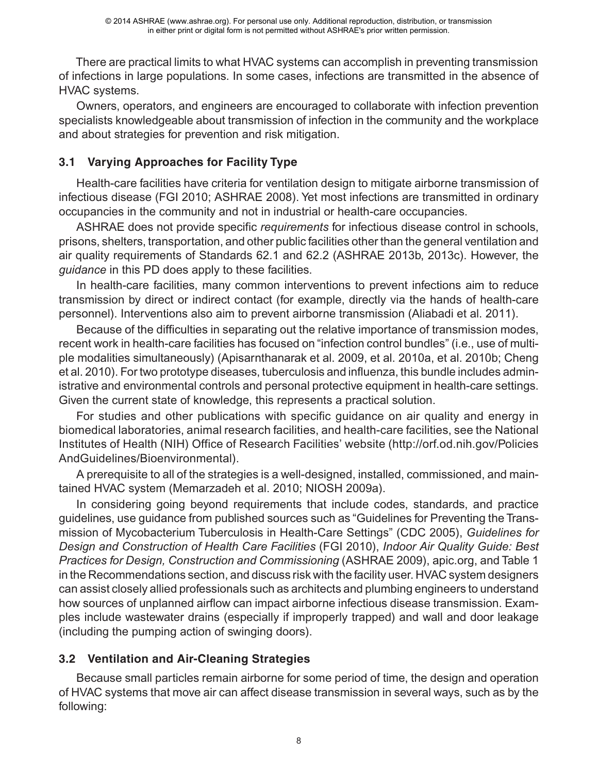There are practical limits to what HVAC systems can accomplish in preventing transmission of infections in large populations. In some cases, infections are transmitted in the absence of HVAC systems.

Owners, operators, and engineers are encouraged to collaborate with infection prevention specialists knowledgeable about transmission of infection in the community and the workplace and about strategies for prevention and risk mitigation.

# **3.1 Varying Approaches for Facility Type**

Health-care facilities have criteria for ventilation design to mitigate airborne transmission of infectious disease (FGI 2010; ASHRAE 2008). Yet most infections are transmitted in ordinary occupancies in the community and not in industrial or health-care occupancies.

ASHRAE does not provide specific *requirements* for infectious disease control in schools, prisons, shelters, transportation, and other public facilities other than the general ventilation and air quality requirements of Standards 62.1 and 62.2 (ASHRAE 2013b, 2013c). However, the *guidance* in this PD does apply to these facilities.

In health-care facilities, many common interventions to prevent infections aim to reduce transmission by direct or indirect contact (for example, directly via the hands of health-care personnel). Interventions also aim to prevent airborne transmission (Aliabadi et al. 2011).

Because of the difficulties in separating out the relative importance of transmission modes, recent work in health-care facilities has focused on "infection control bundles" (i.e., use of multiple modalities simultaneously) (Apisarnthanarak et al. 2009, et al. 2010a, et al. 2010b; Cheng et al. 2010). For two prototype diseases, tuberculosis and influenza, this bundle includes administrative and environmental controls and personal protective equipment in health-care settings. Given the current state of knowledge, this represents a practical solution.

For studies and other publications with specific guidance on air quality and energy in biomedical laboratories, animal research facilities, and health-care facilities, see the National Institutes of Health (NIH) Office of Research Facilities' website (http://orf.od.nih.gov/Policies AndGuidelines/Bioenvironmental).

A prerequisite to all of the strategies is a well-designed, installed, commissioned, and maintained HVAC system (Memarzadeh et al. 2010; NIOSH 2009a).

In considering going beyond requirements that include codes, standards, and practice guidelines, use guidance from published sources such as "Guidelines for Preventing the Transmission of Mycobacterium Tuberculosis in Health-Care Settings" (CDC 2005), *Guidelines for Design and Construction of Health Care Facilities* (FGI 2010), *Indoor Air Quality Guide: Best Practices for Design, Construction and Commissioning* (ASHRAE 2009), apic.org, and Table 1 in the Recommendations section, and discuss risk with the facility user. HVAC system designers can assist closely allied professionals such as architects and plumbing engineers to understand how sources of unplanned airflow can impact airborne infectious disease transmission. Examples include wastewater drains (especially if improperly trapped) and wall and door leakage (including the pumping action of swinging doors).

# **3.2 Ventilation and Air-Cleaning Strategies**

Because small particles remain airborne for some period of time, the design and operation of HVAC systems that move air can affect disease transmission in several ways, such as by the following: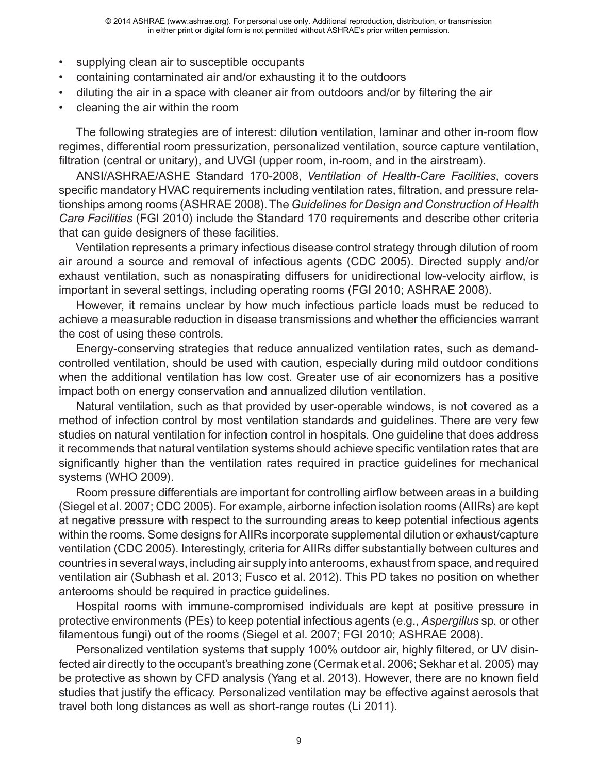- supplying clean air to susceptible occupants
- containing contaminated air and/or exhausting it to the outdoors
- diluting the air in a space with cleaner air from outdoors and/or by filtering the air
- cleaning the air within the room

The following strategies are of interest: dilution ventilation, laminar and other in-room flow regimes, differential room pressurization, personalized ventilation, source capture ventilation, filtration (central or unitary), and UVGI (upper room, in-room, and in the airstream).

ANSI/ASHRAE/ASHE Standard 170-2008, *Ventilation of Health-Care Facilities*, covers specific mandatory HVAC requirements including ventilation rates, filtration, and pressure relationships among rooms (ASHRAE 2008). The *Guidelines for Design and Construction of Health Care Facilities* (FGI 2010) include the Standard 170 requirements and describe other criteria that can guide designers of these facilities.

Ventilation represents a primary infectious disease control strategy through dilution of room air around a source and removal of infectious agents (CDC 2005). Directed supply and/or exhaust ventilation, such as nonaspirating diffusers for unidirectional low-velocity airflow, is important in several settings, including operating rooms (FGI 2010; ASHRAE 2008).

However, it remains unclear by how much infectious particle loads must be reduced to achieve a measurable reduction in disease transmissions and whether the efficiencies warrant the cost of using these controls.

Energy-conserving strategies that reduce annualized ventilation rates, such as demandcontrolled ventilation, should be used with caution, especially during mild outdoor conditions when the additional ventilation has low cost. Greater use of air economizers has a positive impact both on energy conservation and annualized dilution ventilation.

Natural ventilation, such as that provided by user-operable windows, is not covered as a method of infection control by most ventilation standards and guidelines. There are very few studies on natural ventilation for infection control in hospitals. One guideline that does address it recommends that natural ventilation systems should achieve specific ventilation rates that are significantly higher than the ventilation rates required in practice guidelines for mechanical systems (WHO 2009).

Room pressure differentials are important for controlling airflow between areas in a building (Siegel et al. 2007; CDC 2005). For example, airborne infection isolation rooms (AIIRs) are kept at negative pressure with respect to the surrounding areas to keep potential infectious agents within the rooms. Some designs for AIIRs incorporate supplemental dilution or exhaust/capture ventilation (CDC 2005). Interestingly, criteria for AIIRs differ substantially between cultures and countries in several ways, including air supply into anterooms, exhaust from space, and required ventilation air (Subhash et al. 2013; Fusco et al. 2012). This PD takes no position on whether anterooms should be required in practice guidelines.

Hospital rooms with immune-compromised individuals are kept at positive pressure in protective environments (PEs) to keep potential infectious agents (e.g., *Aspergillus* sp. or other filamentous fungi) out of the rooms (Siegel et al. 2007; FGI 2010; ASHRAE 2008).

Personalized ventilation systems that supply 100% outdoor air, highly filtered, or UV disinfected air directly to the occupant's breathing zone (Cermak et al. 2006; Sekhar et al. 2005) may be protective as shown by CFD analysis (Yang et al. 2013). However, there are no known field studies that justify the efficacy. Personalized ventilation may be effective against aerosols that travel both long distances as well as short-range routes (Li 2011).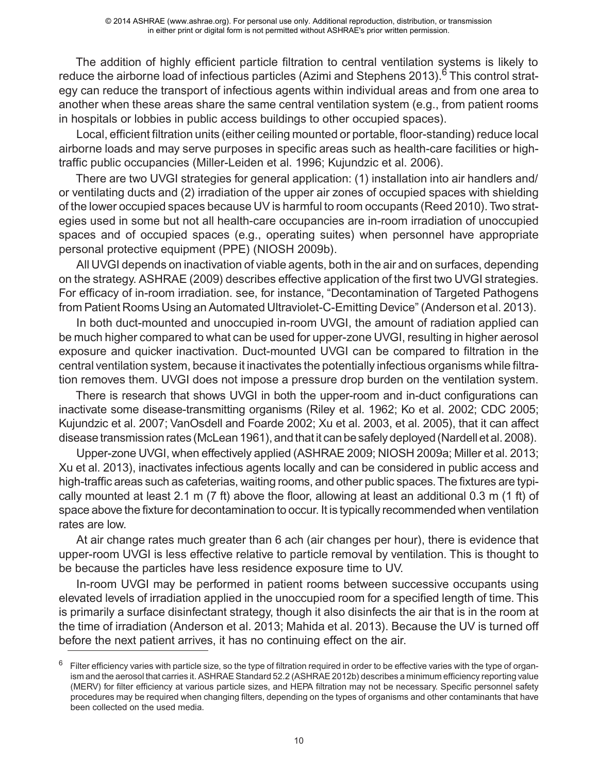The addition of highly efficient particle filtration to central ventilation systems is likely to reduce the airborne load of infectious particles (Azimi and Stephens 2013).<sup>6</sup> This control strategy can reduce the transport of infectious agents within individual areas and from one area to another when these areas share the same central ventilation system (e.g., from patient rooms in hospitals or lobbies in public access buildings to other occupied spaces).

Local, efficient filtration units (either ceiling mounted or portable, floor-standing) reduce local airborne loads and may serve purposes in specific areas such as health-care facilities or hightraffic public occupancies (Miller-Leiden et al. 1996; Kujundzic et al. 2006).

There are two UVGI strategies for general application: (1) installation into air handlers and/ or ventilating ducts and (2) irradiation of the upper air zones of occupied spaces with shielding of the lower occupied spaces because UV is harmful to room occupants (Reed 2010). Two strategies used in some but not all health-care occupancies are in-room irradiation of unoccupied spaces and of occupied spaces (e.g., operating suites) when personnel have appropriate personal protective equipment (PPE) (NIOSH 2009b).

All UVGI depends on inactivation of viable agents, both in the air and on surfaces, depending on the strategy. ASHRAE (2009) describes effective application of the first two UVGI strategies. For efficacy of in-room irradiation. see, for instance, "Decontamination of Targeted Pathogens from Patient Rooms Using an Automated Ultraviolet-C-Emitting Device" (Anderson et al. 2013).

In both duct-mounted and unoccupied in-room UVGI, the amount of radiation applied can be much higher compared to what can be used for upper-zone UVGI, resulting in higher aerosol exposure and quicker inactivation. Duct-mounted UVGI can be compared to filtration in the central ventilation system, because it inactivates the potentially infectious organisms while filtration removes them. UVGI does not impose a pressure drop burden on the ventilation system.

There is research that shows UVGI in both the upper-room and in-duct configurations can inactivate some disease-transmitting organisms (Riley et al. 1962; Ko et al. 2002; CDC 2005; Kujundzic et al. 2007; VanOsdell and Foarde 2002; Xu et al. 2003, et al. 2005), that it can affect disease transmission rates (McLean 1961), and that it can be safely deployed (Nardell et al. 2008).

Upper-zone UVGI, when effectively applied (ASHRAE 2009; NIOSH 2009a; Miller et al. 2013; Xu et al. 2013), inactivates infectious agents locally and can be considered in public access and high-traffic areas such as cafeterias, waiting rooms, and other public spaces. The fixtures are typically mounted at least 2.1 m (7 ft) above the floor, allowing at least an additional 0.3 m (1 ft) of space above the fixture for decontamination to occur. It is typically recommended when ventilation rates are low.

At air change rates much greater than 6 ach (air changes per hour), there is evidence that upper-room UVGI is less effective relative to particle removal by ventilation. This is thought to be because the particles have less residence exposure time to UV.

In-room UVGI may be performed in patient rooms between successive occupants using elevated levels of irradiation applied in the unoccupied room for a specified length of time. This is primarily a surface disinfectant strategy, though it also disinfects the air that is in the room at the time of irradiation (Anderson et al. 2013; Mahida et al. 2013). Because the UV is turned off before the next patient arrives, it has no continuing effect on the air.

 $6$  Filter efficiency varies with particle size, so the type of filtration required in order to be effective varies with the type of organism and the aerosol that carries it. ASHRAE Standard 52.2 (ASHRAE 2012b) describes a minimum efficiency reporting value (MERV) for filter efficiency at various particle sizes, and HEPA filtration may not be necessary. Specific personnel safety procedures may be required when changing filters, depending on the types of organisms and other contaminants that have been collected on the used media.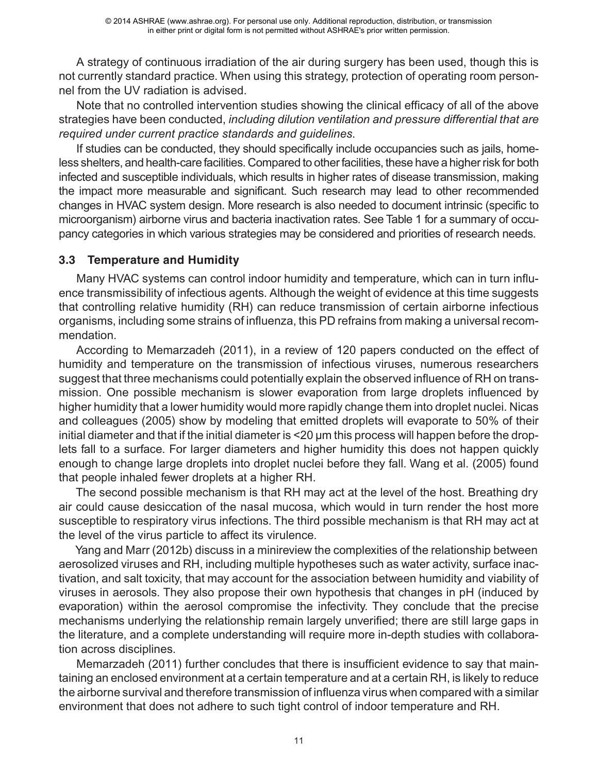A strategy of continuous irradiation of the air during surgery has been used, though this is not currently standard practice. When using this strategy, protection of operating room personnel from the UV radiation is advised.

Note that no controlled intervention studies showing the clinical efficacy of all of the above strategies have been conducted, *including dilution ventilation and pressure differential that are required under current practice standards and guidelines*.

If studies can be conducted, they should specifically include occupancies such as jails, homeless shelters, and health-care facilities. Compared to other facilities, these have a higher risk for both infected and susceptible individuals, which results in higher rates of disease transmission, making the impact more measurable and significant. Such research may lead to other recommended changes in HVAC system design. More research is also needed to document intrinsic (specific to microorganism) airborne virus and bacteria inactivation rates. See Table 1 for a summary of occupancy categories in which various strategies may be considered and priorities of research needs.

## **3.3 Temperature and Humidity**

Many HVAC systems can control indoor humidity and temperature, which can in turn influence transmissibility of infectious agents. Although the weight of evidence at this time suggests that controlling relative humidity (RH) can reduce transmission of certain airborne infectious organisms, including some strains of influenza, this PD refrains from making a universal recommendation.

According to Memarzadeh (2011), in a review of 120 papers conducted on the effect of humidity and temperature on the transmission of infectious viruses, numerous researchers suggest that three mechanisms could potentially explain the observed influence of RH on transmission. One possible mechanism is slower evaporation from large droplets influenced by higher humidity that a lower humidity would more rapidly change them into droplet nuclei. Nicas and colleagues (2005) show by modeling that emitted droplets will evaporate to 50% of their initial diameter and that if the initial diameter is <20 µm this process will happen before the droplets fall to a surface. For larger diameters and higher humidity this does not happen quickly enough to change large droplets into droplet nuclei before they fall. Wang et al. (2005) found that people inhaled fewer droplets at a higher RH.

The second possible mechanism is that RH may act at the level of the host. Breathing dry air could cause desiccation of the nasal mucosa, which would in turn render the host more susceptible to respiratory virus infections. The third possible mechanism is that RH may act at the level of the virus particle to affect its virulence.

Yang and Marr (2012b) discuss in a minireview the complexities of the relationship between aerosolized viruses and RH, including multiple hypotheses such as water activity, surface inactivation, and salt toxicity, that may account for the association between humidity and viability of viruses in aerosols. They also propose their own hypothesis that changes in pH (induced by evaporation) within the aerosol compromise the infectivity. They conclude that the precise mechanisms underlying the relationship remain largely unverified; there are still large gaps in the literature, and a complete understanding will require more in-depth studies with collaboration across disciplines.

Memarzadeh (2011) further concludes that there is insufficient evidence to say that maintaining an enclosed environment at a certain temperature and at a certain RH, is likely to reduce the airborne survival and therefore transmission of influenza virus when compared with a similar environment that does not adhere to such tight control of indoor temperature and RH.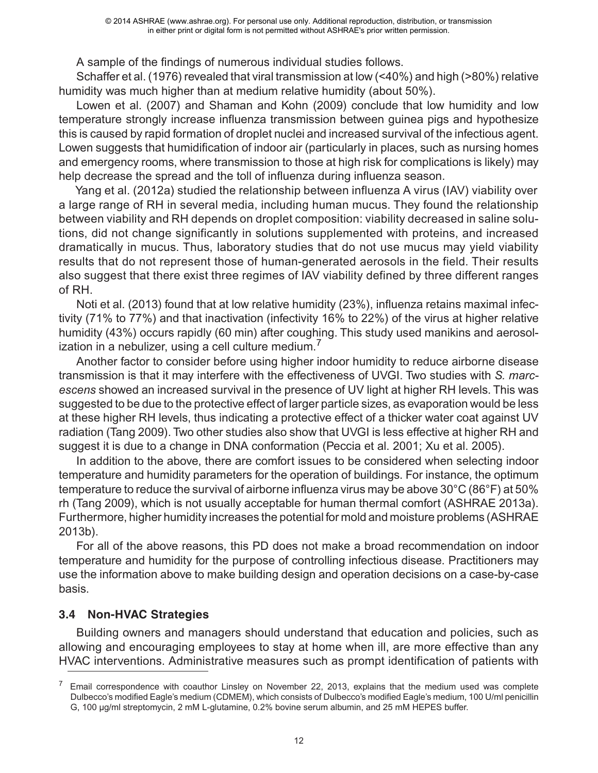A sample of the findings of numerous individual studies follows.

Schaffer et al. (1976) revealed that viral transmission at low (<40%) and high (>80%) relative humidity was much higher than at medium relative humidity (about 50%).

Lowen et al. (2007) and Shaman and Kohn (2009) conclude that low humidity and low temperature strongly increase influenza transmission between guinea pigs and hypothesize this is caused by rapid formation of droplet nuclei and increased survival of the infectious agent. Lowen suggests that humidification of indoor air (particularly in places, such as nursing homes and emergency rooms, where transmission to those at high risk for complications is likely) may help decrease the spread and the toll of influenza during influenza season.

Yang et al. (2012a) studied the relationship between influenza A virus (IAV) viability over a large range of RH in several media, including human mucus. They found the relationship between viability and RH depends on droplet composition: viability decreased in saline solutions, did not change significantly in solutions supplemented with proteins, and increased dramatically in mucus. Thus, laboratory studies that do not use mucus may yield viability results that do not represent those of human-generated aerosols in the field. Their results also suggest that there exist three regimes of IAV viability defined by three different ranges of RH.

Noti et al. (2013) found that at low relative humidity (23%), influenza retains maximal infectivity (71% to 77%) and that inactivation (infectivity 16% to 22%) of the virus at higher relative humidity (43%) occurs rapidly (60 min) after coughing. This study used manikins and aerosolization in a nebulizer, using a cell culture medium.<sup>1</sup>

Another factor to consider before using higher indoor humidity to reduce airborne disease transmission is that it may interfere with the effectiveness of UVGI. Two studies with *S. marcescens* showed an increased survival in the presence of UV light at higher RH levels. This was suggested to be due to the protective effect of larger particle sizes, as evaporation would be less at these higher RH levels, thus indicating a protective effect of a thicker water coat against UV radiation (Tang 2009). Two other studies also show that UVGI is less effective at higher RH and suggest it is due to a change in DNA conformation (Peccia et al. 2001; Xu et al. 2005).

In addition to the above, there are comfort issues to be considered when selecting indoor temperature and humidity parameters for the operation of buildings. For instance, the optimum temperature to reduce the survival of airborne influenza virus may be above 30°C (86°F) at 50% rh (Tang 2009), which is not usually acceptable for human thermal comfort (ASHRAE 2013a). Furthermore, higher humidity increases the potential for mold and moisture problems (ASHRAE 2013b).

For all of the above reasons, this PD does not make a broad recommendation on indoor temperature and humidity for the purpose of controlling infectious disease. Practitioners may use the information above to make building design and operation decisions on a case-by-case basis.

## **3.4 Non-HVAC Strategies**

Building owners and managers should understand that education and policies, such as allowing and encouraging employees to stay at home when ill, are more effective than any HVAC interventions. Administrative measures such as prompt identification of patients with

 $7$  Email correspondence with coauthor Linsley on November 22, 2013, explains that the medium used was complete Dulbecco's modified Eagle's medium (CDMEM), which consists of Dulbecco's modified Eagle's medium, 100 U/ml penicillin G, 100 µg/ml streptomycin, 2 mM L-glutamine, 0.2% bovine serum albumin, and 25 mM HEPES buffer.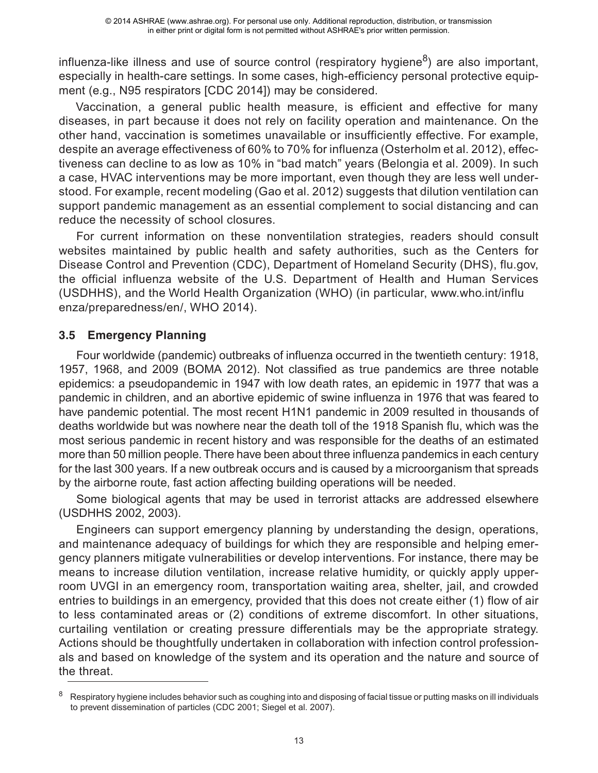influenza-like illness and use of source control (respiratory hygiene<sup>8</sup>) are also important, especially in health-care settings. In some cases, high-efficiency personal protective equipment (e.g., N95 respirators [CDC 2014]) may be considered.

Vaccination, a general public health measure, is efficient and effective for many diseases, in part because it does not rely on facility operation and maintenance. On the other hand, vaccination is sometimes unavailable or insufficiently effective. For example, despite an average effectiveness of 60% to 70% for influenza (Osterholm et al. 2012), effectiveness can decline to as low as 10% in "bad match" years (Belongia et al. 2009). In such a case, HVAC interventions may be more important, even though they are less well understood. For example, recent modeling (Gao et al. 2012) suggests that dilution ventilation can support pandemic management as an essential complement to social distancing and can reduce the necessity of school closures.

For current information on these nonventilation strategies, readers should consult websites maintained by public health and safety authorities, such as the Centers for Disease Control and Prevention (CDC), Department of Homeland Security (DHS), flu.gov, the official influenza website of the U.S. Department of Health and Human Services (USDHHS), and the World Health Organization (WHO) (in particular, www.who.int/influ enza/preparedness/en/, WHO 2014).

## **3.5 Emergency Planning**

Four worldwide (pandemic) outbreaks of influenza occurred in the twentieth century: 1918, 1957, 1968, and 2009 (BOMA 2012). Not classified as true pandemics are three notable epidemics: a pseudopandemic in 1947 with low death rates, an epidemic in 1977 that was a pandemic in children, and an abortive epidemic of swine influenza in 1976 that was feared to have pandemic potential. The most recent H1N1 pandemic in 2009 resulted in thousands of deaths worldwide but was nowhere near the death toll of the 1918 Spanish flu, which was the most serious pandemic in recent history and was responsible for the deaths of an estimated more than 50 million people. There have been about three influenza pandemics in each century for the last 300 years. If a new outbreak occurs and is caused by a microorganism that spreads by the airborne route, fast action affecting building operations will be needed.

Some biological agents that may be used in terrorist attacks are addressed elsewhere (USDHHS 2002, 2003).

Engineers can support emergency planning by understanding the design, operations, and maintenance adequacy of buildings for which they are responsible and helping emergency planners mitigate vulnerabilities or develop interventions. For instance, there may be means to increase dilution ventilation, increase relative humidity, or quickly apply upperroom UVGI in an emergency room, transportation waiting area, shelter, jail, and crowded entries to buildings in an emergency, provided that this does not create either (1) flow of air to less contaminated areas or (2) conditions of extreme discomfort. In other situations, curtailing ventilation or creating pressure differentials may be the appropriate strategy. Actions should be thoughtfully undertaken in collaboration with infection control professionals and based on knowledge of the system and its operation and the nature and source of the threat.

<sup>8</sup> Respiratory hygiene includes behavior such as coughing into and disposing of facial tissue or putting masks on ill individuals to prevent dissemination of particles (CDC 2001; Siegel et al. 2007).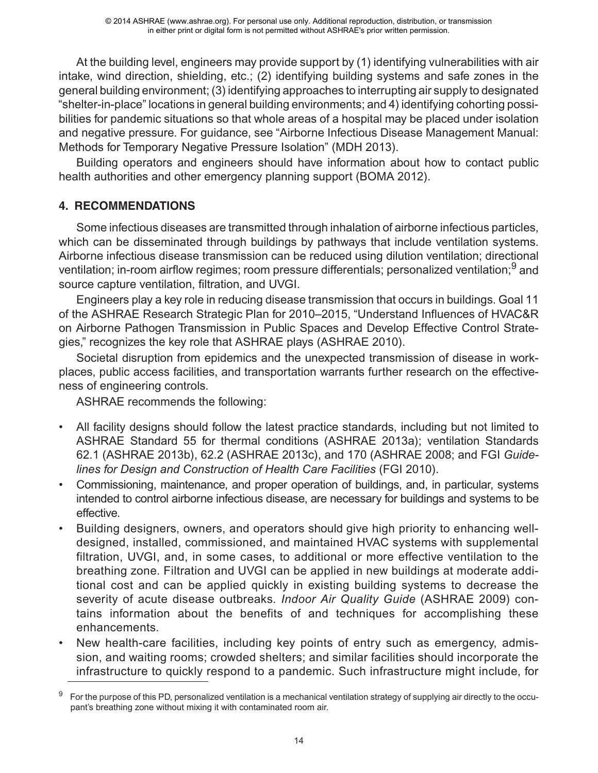At the building level, engineers may provide support by (1) identifying vulnerabilities with air intake, wind direction, shielding, etc.; (2) identifying building systems and safe zones in the general building environment; (3) identifying approaches to interrupting air supply to designated "shelter-in-place" locations in general building environments; and 4) identifying cohorting possibilities for pandemic situations so that whole areas of a hospital may be placed under isolation and negative pressure. For guidance, see "Airborne Infectious Disease Management Manual: Methods for Temporary Negative Pressure Isolation" (MDH 2013).

Building operators and engineers should have information about how to contact public health authorities and other emergency planning support (BOMA 2012).

# **4. RECOMMENDATIONS**

Some infectious diseases are transmitted through inhalation of airborne infectious particles, which can be disseminated through buildings by pathways that include ventilation systems. Airborne infectious disease transmission can be reduced using dilution ventilation; directional ventilation; in-room airflow regimes; room pressure differentials; personalized ventilation;<sup>9</sup> and source capture ventilation, filtration, and UVGI.

Engineers play a key role in reducing disease transmission that occurs in buildings. Goal 11 of the ASHRAE Research Strategic Plan for 2010–2015, "Understand Influences of HVAC&R on Airborne Pathogen Transmission in Public Spaces and Develop Effective Control Strategies," recognizes the key role that ASHRAE plays (ASHRAE 2010).

Societal disruption from epidemics and the unexpected transmission of disease in workplaces, public access facilities, and transportation warrants further research on the effectiveness of engineering controls.

ASHRAE recommends the following:

- All facility designs should follow the latest practice standards, including but not limited to ASHRAE Standard 55 for thermal conditions (ASHRAE 2013a); ventilation Standards 62.1 (ASHRAE 2013b), 62.2 (ASHRAE 2013c), and 170 (ASHRAE 2008; and FGI *Guidelines for Design and Construction of Health Care Facilities* (FGI 2010).
- Commissioning, maintenance, and proper operation of buildings, and, in particular, systems intended to control airborne infectious disease, are necessary for buildings and systems to be effective.
- Building designers, owners, and operators should give high priority to enhancing welldesigned, installed, commissioned, and maintained HVAC systems with supplemental filtration, UVGI, and, in some cases, to additional or more effective ventilation to the breathing zone. Filtration and UVGI can be applied in new buildings at moderate additional cost and can be applied quickly in existing building systems to decrease the severity of acute disease outbreaks. *Indoor Air Quality Guide* (ASHRAE 2009) contains information about the benefits of and techniques for accomplishing these enhancements.
- New health-care facilities, including key points of entry such as emergency, admission, and waiting rooms; crowded shelters; and similar facilities should incorporate the infrastructure to quickly respond to a pandemic. Such infrastructure might include, for

<sup>9</sup> For the purpose of this PD, personalized ventilation is a mechanical ventilation strategy of supplying air directly to the occupant's breathing zone without mixing it with contaminated room air.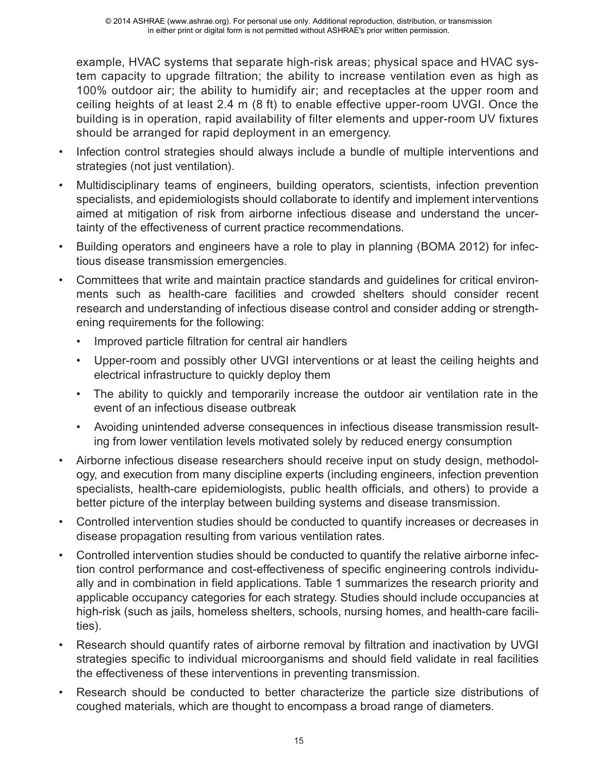example, HVAC systems that separate high-risk areas; physical space and HVAC system capacity to upgrade filtration; the ability to increase ventilation even as high as 100% outdoor air; the ability to humidify air; and receptacles at the upper room and ceiling heights of at least 2.4 m (8 ft) to enable effective upper-room UVGI. Once the building is in operation, rapid availability of filter elements and upper-room UV fixtures should be arranged for rapid deployment in an emergency.

- Infection control strategies should always include a bundle of multiple interventions and strategies (not just ventilation).
- Multidisciplinary teams of engineers, building operators, scientists, infection prevention specialists, and epidemiologists should collaborate to identify and implement interventions aimed at mitigation of risk from airborne infectious disease and understand the uncertainty of the effectiveness of current practice recommendations.
- Building operators and engineers have a role to play in planning (BOMA 2012) for infectious disease transmission emergencies.
- Committees that write and maintain practice standards and guidelines for critical environments such as health-care facilities and crowded shelters should consider recent research and understanding of infectious disease control and consider adding or strengthening requirements for the following:
	- Improved particle filtration for central air handlers
	- Upper-room and possibly other UVGI interventions or at least the ceiling heights and electrical infrastructure to quickly deploy them
	- The ability to quickly and temporarily increase the outdoor air ventilation rate in the event of an infectious disease outbreak
	- Avoiding unintended adverse consequences in infectious disease transmission resulting from lower ventilation levels motivated solely by reduced energy consumption
- Airborne infectious disease researchers should receive input on study design, methodology, and execution from many discipline experts (including engineers, infection prevention specialists, health-care epidemiologists, public health officials, and others) to provide a better picture of the interplay between building systems and disease transmission.
- Controlled intervention studies should be conducted to quantify increases or decreases in disease propagation resulting from various ventilation rates.
- Controlled intervention studies should be conducted to quantify the relative airborne infection control performance and cost-effectiveness of specific engineering controls individually and in combination in field applications. Table 1 summarizes the research priority and applicable occupancy categories for each strategy. Studies should include occupancies at high-risk (such as jails, homeless shelters, schools, nursing homes, and health-care facilities).
- Research should quantify rates of airborne removal by filtration and inactivation by UVGI strategies specific to individual microorganisms and should field validate in real facilities the effectiveness of these interventions in preventing transmission.
- Research should be conducted to better characterize the particle size distributions of coughed materials, which are thought to encompass a broad range of diameters.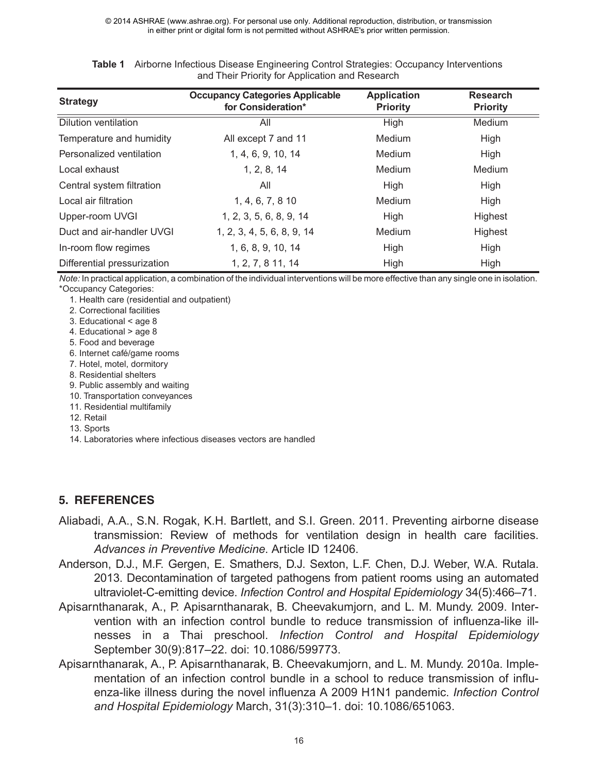| <b>Strategy</b>             | <b>Occupancy Categories Applicable</b><br>for Consideration* | <b>Application</b><br><b>Priority</b> | <b>Research</b><br><b>Priority</b> |
|-----------------------------|--------------------------------------------------------------|---------------------------------------|------------------------------------|
| <b>Dilution ventilation</b> | All                                                          | High                                  | Medium                             |
| Temperature and humidity    | All except 7 and 11                                          | Medium                                | High                               |
| Personalized ventilation    | 1, 4, 6, 9, 10, 14                                           | Medium                                | High                               |
| Local exhaust               | 1, 2, 8, 14                                                  | Medium                                | Medium                             |
| Central system filtration   | All                                                          | High                                  | High                               |
| Local air filtration        | 1, 4, 6, 7, 8 10                                             | Medium                                | High                               |
| Upper-room UVGI             | 1, 2, 3, 5, 6, 8, 9, 14                                      | High                                  | Highest                            |
| Duct and air-handler UVGI   | 1, 2, 3, 4, 5, 6, 8, 9, 14                                   | Medium                                | Highest                            |
| In-room flow regimes        | 1, 6, 8, 9, 10, 14                                           | High                                  | High                               |
| Differential pressurization | 1, 2, 7, 8 11, 14                                            | High                                  | High                               |

| <b>Table 1</b> Airborne Infectious Disease Engineering Control Strategies: Occupancy Interventions |
|----------------------------------------------------------------------------------------------------|
| and Their Priority for Application and Research                                                    |

*Note:* In practical application, a combination of the individual interventions will be more effective than any single one in isolation. \*Occupancy Categories:

1. Health care (residential and outpatient)

- 2. Correctional facilities
- 3. Educational < age 8
- 4. Educational > age 8
- 5. Food and beverage
- 6. Internet café/game rooms
- 7. Hotel, motel, dormitory
- 8. Residential shelters
- 9. Public assembly and waiting
- 10. Transportation conveyances
- 11. Residential multifamily
- 12. Retail

13. Sports

14. Laboratories where infectious diseases vectors are handled

## **5. REFERENCES**

- Aliabadi, A.A., S.N. Rogak, K.H. Bartlett, and S.I. Green. 2011. Preventing airborne disease transmission: Review of methods for ventilation design in health care facilities. *Advances in Preventive Medicine*. Article ID 12406.
- Anderson, D.J., M.F. Gergen, E. Smathers, D.J. Sexton, L.F. Chen, D.J. Weber, W.A. Rutala. 2013. Decontamination of targeted pathogens from patient rooms using an automated ultraviolet-C-emitting device. *Infection Control and Hospital Epidemiology* 34(5):466–71.
- Apisarnthanarak, A., P. Apisarnthanarak, B. Cheevakumjorn, and L. M. Mundy. 2009. Intervention with an infection control bundle to reduce transmission of influenza-like illnesses in a Thai preschool. *Infection Control and Hospital Epidemiology* September 30(9):817–22. doi: 10.1086/599773.
- Apisarnthanarak, A., P. Apisarnthanarak, B. Cheevakumjorn, and L. M. Mundy. 2010a. Implementation of an infection control bundle in a school to reduce transmission of influenza-like illness during the novel influenza A 2009 H1N1 pandemic. *Infection Control and Hospital Epidemiology* March, 31(3):310–1. doi: 10.1086/651063.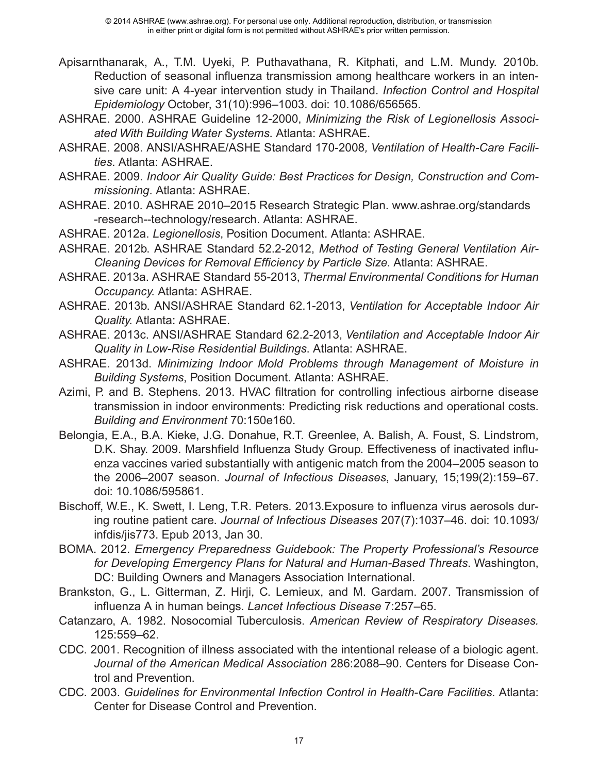- Apisarnthanarak, A., T.M. Uyeki, P. Puthavathana, R. Kitphati, and L.M. Mundy. 2010b. Reduction of seasonal influenza transmission among healthcare workers in an intensive care unit: A 4-year intervention study in Thailand. *Infection Control and Hospital Epidemiology* October, 31(10):996–1003. doi: 10.1086/656565.
- ASHRAE. 2000. ASHRAE Guideline 12-2000, *Minimizing the Risk of Legionellosis Associated With Building Water Systems*. Atlanta: ASHRAE.
- ASHRAE. 2008. ANSI/ASHRAE/ASHE Standard 170-2008*, Ventilation of Health-Care Facilities*. Atlanta: ASHRAE.
- ASHRAE. 2009. *Indoor Air Quality Guide: Best Practices for Design, Construction and Commissioning*. Atlanta: ASHRAE.
- ASHRAE. 2010. ASHRAE 2010–2015 Research Strategic Plan. www.ashrae.org/standards -research--technology/research. Atlanta: ASHRAE.
- ASHRAE. 2012a. *Legionellosis*, Position Document. Atlanta: ASHRAE.
- ASHRAE. 2012b. ASHRAE Standard 52.2-2012, *Method of Testing General Ventilation Air-Cleaning Devices for Removal Efficiency by Particle Size*. Atlanta: ASHRAE.
- ASHRAE. 2013a. ASHRAE Standard 55-2013, *Thermal Environmental Conditions for Human Occupancy*. Atlanta: ASHRAE.
- ASHRAE. 2013b. ANSI/ASHRAE Standard 62.1-2013, *Ventilation for Acceptable Indoor Air Quality*. Atlanta: ASHRAE.
- ASHRAE. 2013c. ANSI/ASHRAE Standard 62.2-2013, *Ventilation and Acceptable Indoor Air Quality in Low-Rise Residential Buildings*. Atlanta: ASHRAE.
- ASHRAE. 2013d. *Minimizing Indoor Mold Problems through Management of Moisture in Building Systems*, Position Document. Atlanta: ASHRAE.
- Azimi, P. and B. Stephens. 2013. HVAC filtration for controlling infectious airborne disease transmission in indoor environments: Predicting risk reductions and operational costs. *Building and Environment* 70:150e160.
- Belongia, E.A., B.A. Kieke, J.G. Donahue, R.T. Greenlee, A. Balish, A. Foust, S. Lindstrom, D.K. Shay. 2009. Marshfield Influenza Study Group. Effectiveness of inactivated influenza vaccines varied substantially with antigenic match from the 2004–2005 season to the 2006–2007 season. *Journal of Infectious Diseases*, January, 15;199(2):159–67. doi: 10.1086/595861.
- Bischoff, W.E., K. Swett, I. Leng, T.R. Peters. 2013.Exposure to influenza virus aerosols during routine patient care. *Journal of Infectious Diseases* 207(7):1037–46. doi: 10.1093/ infdis/jis773. Epub 2013, Jan 30.
- BOMA. 2012. *Emergency Preparedness Guidebook: The Property Professional's Resource for Developing Emergency Plans for Natural and Human-Based Threats*. Washington, DC: Building Owners and Managers Association International.
- Brankston, G., L. Gitterman, Z. Hirji, C. Lemieux, and M. Gardam. 2007. Transmission of influenza A in human beings. *Lancet Infectious Disease* 7:257–65.
- Catanzaro, A. 1982. Nosocomial Tuberculosis. *American Review of Respiratory Diseases.* 125:559–62.
- CDC. 2001. Recognition of illness associated with the intentional release of a biologic agent. *Journal of the American Medical Association* 286:2088–90. Centers for Disease Control and Prevention.
- CDC. 2003. *Guidelines for Environmental Infection Control in Health-Care Facilities*. Atlanta: Center for Disease Control and Prevention.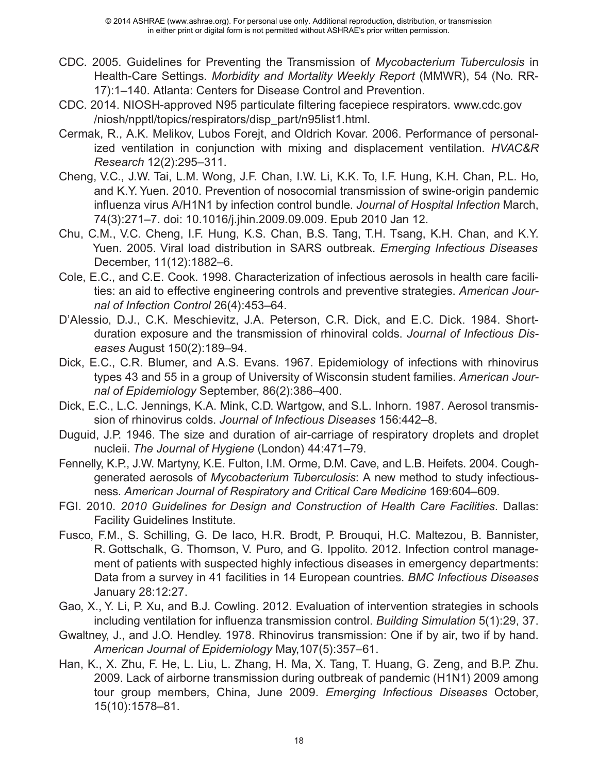- CDC. 2005. Guidelines for Preventing the Transmission of *Mycobacterium Tuberculosis* in Health-Care Settings. *Morbidity and Mortality Weekly Report* (MMWR), 54 (No. RR-17):1–140. Atlanta: Centers for Disease Control and Prevention.
- CDC. 2014. NIOSH-approved N95 particulate filtering facepiece respirators. www.cdc.gov /niosh/npptl/topics/respirators/disp\_part/n95list1.html.
- Cermak, R., A.K. Melikov, Lubos Forejt, and Oldrich Kovar. 2006. Performance of personalized ventilation in conjunction with mixing and displacement ventilation. *HVAC&R Research* 12(2):295–311.
- Cheng, V.C., J.W. Tai, L.M. Wong, J.F. Chan, I.W. Li, K.K. To, I.F. Hung, K.H. Chan, P.L. Ho, and K.Y. Yuen. 2010. Prevention of nosocomial transmission of swine-origin pandemic influenza virus A/H1N1 by infection control bundle. *Journal of Hospital Infection* March, 74(3):271–7. doi: 10.1016/j.jhin.2009.09.009. Epub 2010 Jan 12.
- Chu, C.M., V.C. Cheng, I.F. Hung, K.S. Chan, B.S. Tang, T.H. Tsang, K.H. Chan, and K.Y. Yuen. 2005. Viral load distribution in SARS outbreak. *Emerging Infectious Diseases* December, 11(12):1882–6.
- Cole, E.C., and C.E. Cook. 1998. Characterization of infectious aerosols in health care facilities: an aid to effective engineering controls and preventive strategies. *American Journal of Infection Control* 26(4):453–64.
- D'Alessio, D.J., C.K. Meschievitz, J.A. Peterson, C.R. Dick, and E.C. Dick. 1984. Shortduration exposure and the transmission of rhinoviral colds. *Journal of Infectious Diseases* August 150(2):189–94.
- Dick, E.C., C.R. Blumer, and A.S. Evans. 1967. Epidemiology of infections with rhinovirus types 43 and 55 in a group of University of Wisconsin student families. *American Journal of Epidemiology* September, 86(2):386–400.
- Dick, E.C., L.C. Jennings, K.A. Mink, C.D. Wartgow, and S.L. Inhorn. 1987. Aerosol transmission of rhinovirus colds. *Journal of Infectious Diseases* 156:442–8.
- Duguid, J.P. 1946. The size and duration of air-carriage of respiratory droplets and droplet nucleii. *The Journal of Hygiene* (London) 44:471–79.
- Fennelly, K.P., J.W. Martyny, K.E. Fulton, I.M. Orme, D.M. Cave, and L.B. Heifets. 2004. Coughgenerated aerosols of *Mycobacterium Tuberculosis*: A new method to study infectiousness. *American Journal of Respiratory and Critical Care Medicine* 169:604–609.
- FGI. 2010. *2010 Guidelines for Design and Construction of Health Care Facilities*. Dallas: Facility Guidelines Institute.
- Fusco, F.M., S. Schilling, G. De Iaco, H.R. Brodt, P. Brouqui, H.C. Maltezou, B. Bannister, R. Gottschalk, G. Thomson, V. Puro, and G. Ippolito. 2012. Infection control management of patients with suspected highly infectious diseases in emergency departments: Data from a survey in 41 facilities in 14 European countries. *BMC Infectious Diseases* January 28:12:27.
- Gao, X., Y. Li, P. Xu, and B.J. Cowling. 2012. Evaluation of intervention strategies in schools including ventilation for influenza transmission control. *Building Simulation* 5(1):29, 37.
- Gwaltney, J., and J.O. Hendley. 1978. Rhinovirus transmission: One if by air, two if by hand. *American Journal of Epidemiology* May,107(5):357–61.
- Han, K., X. Zhu, F. He, L. Liu, L. Zhang, H. Ma, X. Tang, T. Huang, G. Zeng, and B.P. Zhu. 2009. Lack of airborne transmission during outbreak of pandemic (H1N1) 2009 among tour group members, China, June 2009. *Emerging Infectious Diseases* October, 15(10):1578–81.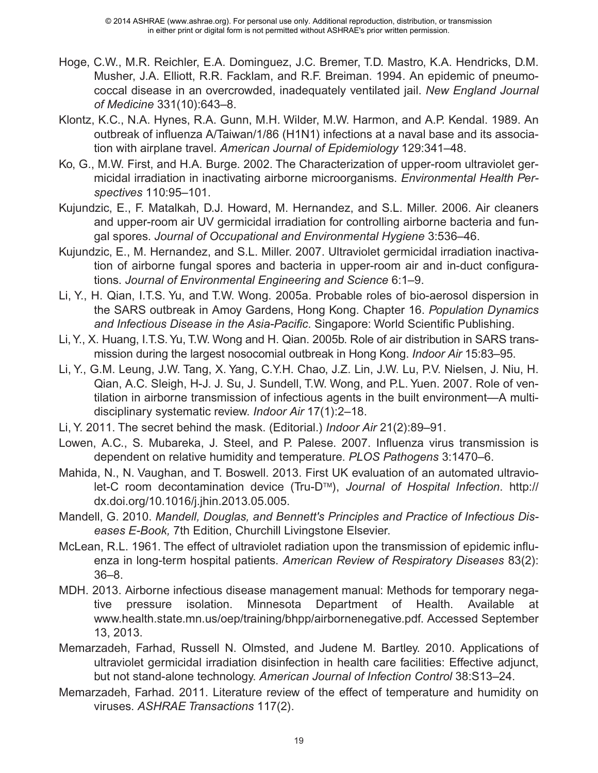- Hoge, C.W., M.R. Reichler, E.A. Dominguez, J.C. Bremer, T.D. Mastro, K.A. Hendricks, D.M. Musher, J.A. Elliott, R.R. Facklam, and R.F. Breiman. 1994. An epidemic of pneumococcal disease in an overcrowded, inadequately ventilated jail. *New England Journal of Medicine* 331(10):643–8.
- Klontz, K.C., N.A. Hynes, R.A. Gunn, M.H. Wilder, M.W. Harmon, and A.P. Kendal. 1989. An outbreak of influenza A/Taiwan/1/86 (H1N1) infections at a naval base and its association with airplane travel. *American Journal of Epidemiology* 129:341–48.
- Ko, G., M.W. First, and H.A. Burge. 2002. The Characterization of upper-room ultraviolet germicidal irradiation in inactivating airborne microorganisms. *Environmental Health Perspectives* 110:95–101.
- Kujundzic, E., F. Matalkah, D.J. Howard, M. Hernandez, and S.L. Miller. 2006. Air cleaners and upper-room air UV germicidal irradiation for controlling airborne bacteria and fungal spores. *Journal of Occupational and Environmental Hygiene* 3:536–46.
- Kujundzic, E., M. Hernandez, and S.L. Miller. 2007. Ultraviolet germicidal irradiation inactivation of airborne fungal spores and bacteria in upper-room air and in-duct configurations. *Journal of Environmental Engineering and Science* 6:1–9.
- Li, Y., H. Qian, I.T.S. Yu, and T.W. Wong. 2005a. Probable roles of bio-aerosol dispersion in the SARS outbreak in Amoy Gardens, Hong Kong. Chapter 16. *Population Dynamics and Infectious Disease in the Asia-Pacific*. Singapore: World Scientific Publishing.
- Li, Y., X. Huang, I.T.S. Yu, T.W. Wong and H. Qian. 2005b. Role of air distribution in SARS transmission during the largest nosocomial outbreak in Hong Kong. *Indoor Air* 15:83–95.
- Li, Y., G.M. Leung, J.W. Tang, X. Yang, C.Y.H. Chao, J.Z. Lin, J.W. Lu, P.V. Nielsen, J. Niu, H. Qian, A.C. Sleigh, H-J. J. Su, J. Sundell, T.W. Wong, and P.L. Yuen. 2007. Role of ventilation in airborne transmission of infectious agents in the built environment—A multidisciplinary systematic review. *Indoor Air* 17(1):2–18.
- Li, Y. 2011. The secret behind the mask. (Editorial.) *Indoor Air* 21(2):89–91.
- Lowen, A.C., S. Mubareka, J. Steel, and P. Palese. 2007. Influenza virus transmission is dependent on relative humidity and temperature. *PLOS Pathogens* 3:1470–6.
- Mahida, N., N. Vaughan, and T. Boswell. 2013. First UK evaluation of an automated ultraviolet-C room decontamination device (Tru-D<sup>™</sup>), *Journal of Hospital Infection*. http:// dx.doi.org/10.1016/j.jhin.2013.05.005.
- Mandell, G. 2010. *Mandell, Douglas, and Bennett's Principles and Practice of Infectious Diseases E-Book,* 7th Edition, Churchill Livingstone Elsevier.
- McLean, R.L. 1961. The effect of ultraviolet radiation upon the transmission of epidemic influenza in long-term hospital patients. *American Review of Respiratory Diseases* 83(2): 36–8.
- MDH. 2013. Airborne infectious disease management manual: Methods for temporary negative pressure isolation. Minnesota Department of Health. Available at www.health.state.mn.us/oep/training/bhpp/airbornenegative.pdf. Accessed September 13, 2013.
- Memarzadeh, Farhad, Russell N. Olmsted, and Judene M. Bartley. 2010. Applications of ultraviolet germicidal irradiation disinfection in health care facilities: Effective adjunct, but not stand-alone technology. *American Journal of Infection Control* 38:S13–24.
- Memarzadeh, Farhad. 2011. Literature review of the effect of temperature and humidity on viruses. *ASHRAE Transactions* 117(2).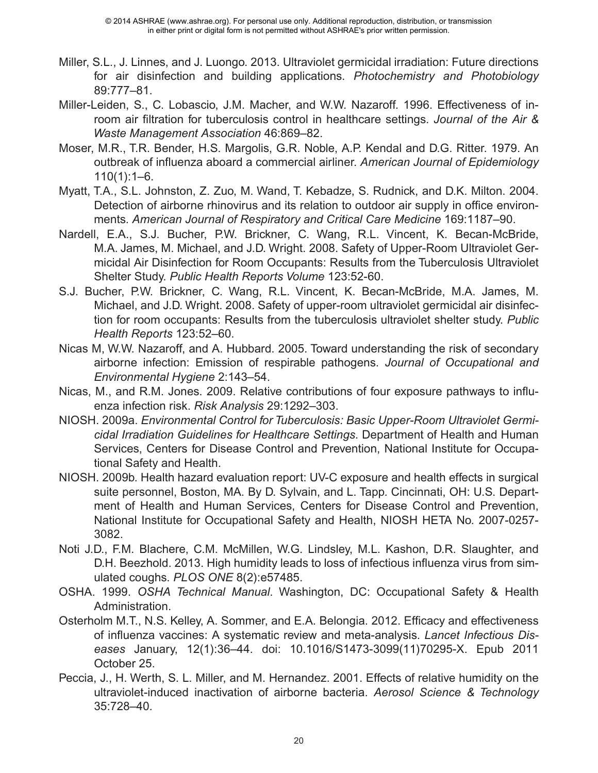- Miller, S.L., J. Linnes, and J. Luongo. 2013. Ultraviolet germicidal irradiation: Future directions for air disinfection and building applications. *Photochemistry and Photobiology* 89:777–81.
- Miller-Leiden, S., C. Lobascio, J.M. Macher, and W.W. Nazaroff. 1996. Effectiveness of inroom air filtration for tuberculosis control in healthcare settings. *Journal of the Air & Waste Management Association* 46:869–82.
- Moser, M.R., T.R. Bender, H.S. Margolis, G.R. Noble, A.P. Kendal and D.G. Ritter. 1979. An outbreak of influenza aboard a commercial airliner. *American Journal of Epidemiology*  $110(1):1-6.$
- Myatt, T.A., S.L. Johnston, Z. Zuo, M. Wand, T. Kebadze, S. Rudnick, and D.K. Milton. 2004. Detection of airborne rhinovirus and its relation to outdoor air supply in office environments. *American Journal of Respiratory and Critical Care Medicine* 169:1187–90.
- Nardell, E.A., S.J. Bucher, P.W. Brickner, C. Wang, R.L. Vincent, K. Becan-McBride, M.A. James, M. Michael, and J.D. Wright. 2008. Safety of Upper-Room Ultraviolet Germicidal Air Disinfection for Room Occupants: Results from the Tuberculosis Ultraviolet Shelter Study. *Public Health Reports Volume* 123:52-60.
- S.J. Bucher, P.W. Brickner, C. Wang, R.L. Vincent, K. Becan-McBride, M.A. James, M. Michael, and J.D. Wright. 2008. Safety of upper-room ultraviolet germicidal air disinfection for room occupants: Results from the tuberculosis ultraviolet shelter study. *Public Health Reports* 123:52–60.
- Nicas M, W.W. Nazaroff, and A. Hubbard. 2005. Toward understanding the risk of secondary airborne infection: Emission of respirable pathogens. *Journal of Occupational and Environmental Hygiene* 2:143–54.
- Nicas, M., and R.M. Jones. 2009. Relative contributions of four exposure pathways to influenza infection risk. *Risk Analysis* 29:1292–303.
- NIOSH. 2009a. *Environmental Control for Tuberculosis: Basic Upper-Room Ultraviolet Germicidal Irradiation Guidelines for Healthcare Settings*. Department of Health and Human Services, Centers for Disease Control and Prevention, National Institute for Occupational Safety and Health.
- NIOSH. 2009b. Health hazard evaluation report: UV-C exposure and health effects in surgical suite personnel, Boston, MA. By D. Sylvain, and L. Tapp. Cincinnati, OH: U.S. Department of Health and Human Services, Centers for Disease Control and Prevention, National Institute for Occupational Safety and Health, NIOSH HETA No. 2007-0257- 3082.
- Noti J.D., F.M. Blachere, C.M. McMillen, W.G. Lindsley, M.L. Kashon, D.R. Slaughter, and D.H. Beezhold. 2013. High humidity leads to loss of infectious influenza virus from simulated coughs. *PLOS ONE* 8(2):e57485.
- OSHA. 1999. *OSHA Technical Manual*. Washington, DC: Occupational Safety & Health Administration.
- Osterholm M.T., N.S. Kelley, A. Sommer, and E.A. Belongia. 2012. Efficacy and effectiveness of influenza vaccines: A systematic review and meta-analysis. *Lancet Infectious Diseases* January, 12(1):36–44. doi: 10.1016/S1473-3099(11)70295-X. Epub 2011 October 25.
- Peccia, J., H. Werth, S. L. Miller, and M. Hernandez. 2001. Effects of relative humidity on the ultraviolet-induced inactivation of airborne bacteria. *Aerosol Science & Technology* 35:728–40.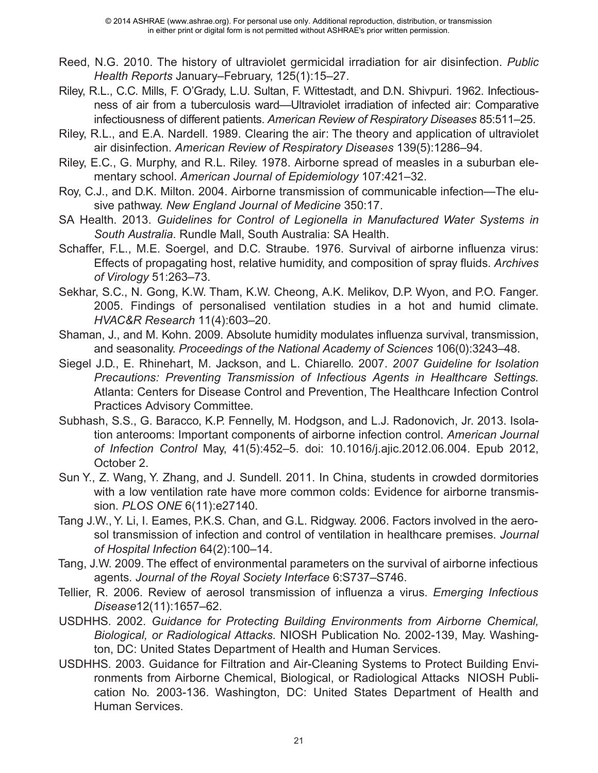- Reed, N.G. 2010. The history of ultraviolet germicidal irradiation for air disinfection. *Public Health Reports* January–February, 125(1):15–27.
- Riley, R.L., C.C. Mills, F. O'Grady, L.U. Sultan, F. Wittestadt, and D.N. Shivpuri. 1962. Infectiousness of air from a tuberculosis ward—Ultraviolet irradiation of infected air: Comparative infectiousness of different patients. *American Review of Respiratory Diseases* 85:511–25.
- Riley, R.L., and E.A. Nardell. 1989. Clearing the air: The theory and application of ultraviolet air disinfection. *American Review of Respiratory Diseases* 139(5):1286–94.
- Riley, E.C., G. Murphy, and R.L. Riley. 1978. Airborne spread of measles in a suburban elementary school. *American Journal of Epidemiology* 107:421–32.
- Roy, C.J., and D.K. Milton. 2004. Airborne transmission of communicable infection—The elusive pathway. *New England Journal of Medicine* 350:17.
- SA Health. 2013. *Guidelines for Control of Legionella in Manufactured Water Systems in South Australia*. Rundle Mall, South Australia: SA Health.
- Schaffer, F.L., M.E. Soergel, and D.C. Straube. 1976. Survival of airborne influenza virus: Effects of propagating host, relative humidity, and composition of spray fluids. *Archives of Virology* 51:263–73.
- Sekhar, S.C., N. Gong, K.W. Tham, K.W. Cheong, A.K. Melikov, D.P. Wyon, and P.O. Fanger. 2005. Findings of personalised ventilation studies in a hot and humid climate. *HVAC&R Research* 11(4):603–20.
- Shaman, J., and M. Kohn. 2009. Absolute humidity modulates influenza survival, transmission, and seasonality. *Proceedings of the National Academy of Sciences* 106(0):3243–48.
- Siegel J.D., E. Rhinehart, M. Jackson, and L. Chiarello. 2007. *2007 Guideline for Isolation Precautions: Preventing Transmission of Infectious Agents in Healthcare Settings.* Atlanta: Centers for Disease Control and Prevention, The Healthcare Infection Control Practices Advisory Committee.
- Subhash, S.S., G. Baracco, K.P. Fennelly, M. Hodgson, and L.J. Radonovich, Jr. 2013. Isolation anterooms: Important components of airborne infection control. *American Journal of Infection Control* May, 41(5):452–5. doi: 10.1016/j.ajic.2012.06.004. Epub 2012, October 2.
- Sun Y., Z. Wang, Y. Zhang, and J. Sundell. 2011. In China, students in crowded dormitories with a low ventilation rate have more common colds: Evidence for airborne transmission. *PLOS ONE* 6(11):e27140.
- Tang J.W., Y. Li, I. Eames, P.K.S. Chan, and G.L. Ridgway. 2006. Factors involved in the aerosol transmission of infection and control of ventilation in healthcare premises. *Journal of Hospital Infection* 64(2):100–14.
- Tang, J.W. 2009. The effect of environmental parameters on the survival of airborne infectious agents. *Journal of the Royal Society Interface* 6:S737–S746.
- Tellier, R. 2006. Review of aerosol transmission of influenza a virus. *Emerging Infectious Disease*12(11):1657–62.
- USDHHS. 2002. *Guidance for Protecting Building Environments from Airborne Chemical, Biological, or Radiological Attacks*. NIOSH Publication No. 2002-139, May. Washington, DC: United States Department of Health and Human Services.
- USDHHS. 2003. Guidance for Filtration and Air-Cleaning Systems to Protect Building Environments from Airborne Chemical, Biological, or Radiological Attacks NIOSH Publication No. 2003-136. Washington, DC: United States Department of Health and Human Services.